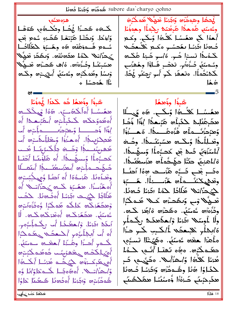Lisi وَاجَنْدُ subore das charyo gohno بْعِثْهَا وهودُرُه وَاجُنِهُ هُدِيْلاً هُدَاهُ وزەمشەر لَّكْـِرَه هَـْــزُا هُـُــا وِتُكْــرَهُ مِنْكُــرِهِ مَنْهُــا وثَمنّها هُمعدُّا هُرِهُمَّةَ رَجْماً وَجَمَعُوُمُّا أَههُا ﴾ همَّسُا ۞ذُهُا وُكِي. وكمو وَّافِكا. وَبِحَثْلِ هَبَّتِهْا هَجَنَو شَوِهِ هِي ئُــەم فُـــەۈمُتُە %ە وهُـــَرُو لكعُلَّائُـــل ئەئا ادَّىْـا بەّدىئىر ەڭبو ئانىمكىلا حَدَّاتِكَ لَكُمَا هَكُمَاشُه. وَتَتَكُّكُو هُوَيْكَ لْكَـٰهُـٰھَا نَـُـْتِهِا خُـبِ. هَاـُــبِ خَـٰہَا هُكُــه همَّبِئُـٰا وِحُـُّوْهُ». هُ/َ هَجَــْهِ هُــوُّلًا وِشْمِمَّةٍ كُـزُّەاُر. تَحْصَرِ قُـارْزَا وِهُدَّىبِ وْسِمًا وِهُدِيْدُو وِشْمِيْكُمْ أَسْلَحْ وَهُدُ وَحْلُحُوا ِكْهُنُدُه أَ. دَتَّعَفُّ: كُبِّ أَسِ رُحِنُنُو لُمِحًا. عْلَا هُوصِمًا \* ەكما  $\infty$ هْرِذًا وِذَهِمًا ثُم كَحَرًا هُوذُمُّا هُرُوُّا ووُّههُا ھمُسُا أَەأَكْتَەگ، قَاھْ قِيْلَكُسُو همْسُلِ ݣْلْـْهَٰا وُلْمَـٰ. هَه يَحْلُّلْ أُوهُدوُحِكْلِهِ لِكُنذُلِكُمْ أَنكُنُ مِمَا أَو هجَرِهُنُابِهِ حَدَّبِٱهِ هَبَيْهِهُا إِوَّٰٓا وَّٰحَا إِوْٓا وَحَــــا وَعِدَوْدُتَـــــواَمِرُو أَب وَهرَدُتُــداً۞ فُزْهِھُـــمِدًا. هَـمَـــُزُوَّا هُدِدْرُبِيجًا. أُهِ هُزُوا وُتِعْالِمُكَتَّرِهِ أَب وقْطلْبِهْ! وُيْݣُوه هِيَبْتِيْتُبِيهْا. وَهُدْ هُدمِهُنسماً وَكُنْ مِلْكُنَّهِنَا هُنت ٱلۡلَّمَٰٓئُوۡفَۖ شَٰهٗ بَعۡ كُحِبُّوٓاُ ۖ وَٱمِنَّصَٰوَٰاٗ ۖ. كْحَـرُّهِ أَا وُسِيغُـبِيهُا. أَو هَٰلُؤُمِّـا أَتَنْـا ة/اعزمَه حتَنَّا حهُمْشُهاْرَ هزَمهُنَّمَا. دَيمُيكِ وَأَرْدِهِ أَيعَزُ بِمِعْنَ لِمَا أَينَكَ لَل ەكّْبِ بْحْبِ كُــرُه هُزُـــد «ەُا أَحِنُــا وقْدَاهِ لَا، هَٰٓزَحَاهُمْ أَوْ أَحَلًا وَّوِيِكُمُّتْرَوْهِ وقحمى كخنُّــــملَّاه هَّزُـــــزْلًا. هَــــرَدِ أهكَّ سُأل هكَّ ذِكْرُهِ كِحِذَاتِكُمْ أَه لِكَيْحَزُاتِيْ هَٰلَاظُ لِكُمَا ادَّنْنَا خُوبُنَا. هَٰلَامُا ﴿ حَيْثَ امْنَا أُودُونَا. حَدَّب تَعَيْلًا وَبِ وَتَتَعَصَنَّ مَكَلًا تَعْمَدُوا وْهِكُمُ; كَلَى كَلْگُمْ هُوكُمُ! وُوكُنُواَتِهِ وِكُزُوْارُه شَمِيَكُمْ. وَهُجْرَرَه وْ أَهْدَ لَكْتِهِ. شَمَعُهُ. محَمَّز كَلـره أُه مُز كَلره كلـره. لُل ولًا لمُوسَكِ ادَّنَا وَاحكُمْ ذَكَرٍ رَبُّدَاُرِ أَمِكُمْ ادَّبْنَا. وْ/هشَمْـٰا أُب رِكْـٰدِأَمْرُەب. ة/بِهِلْمِ تَكْبِيْعِضُكَ لِمُكْتَبِبِ كُتْبِ حَزَّا أَه أَبَّ أَبِهِلْيُومِ ٱلْمُعَصَّلا بِمَعْدَلا رەغشا التَّرْقَة مَنْ مَكَمَّة مِتَّالَ لَسَبَّو لكنون أصرًا وصُنَّط ألمعْنَده سوميَّةٍ. حعَد حدٌ;ه. ووَّه تَعْسَا أَتَدٍ حَدَمًا مهناكم مذهب مشاهده مستكليرها هُٰزِيًا لَكَلُّهُ | وَٱِمِعَزَٰٓٱما وَحَيَّى مِهِ وَحَيَّ أَهْلِكُمْ أَسْتَدَوْهِ لِمَهْجَشَمَ هُوَ الْمَسْلَمَ الْمَسْلَمَ الْمَسْلَمِينَ الْمَسْلَمِينَ الْ لْكُلُوا هُلَا وِهُـهِدّْتُو وَادَّنْـا دُـهلًا وًا معزَّاتِيهِ. أَهْوَهُ وَجَبًّا كُنْ هَدَاوَانًا وُه ھكَرِدَيْتَ حُـزَەُٱ وُوسُبُبُـا ھِھَكَھُتَى هُدكُنُتِره وْاجُنْدُا أُدكُمْنُا هَيْعُينَا تَدَاوُا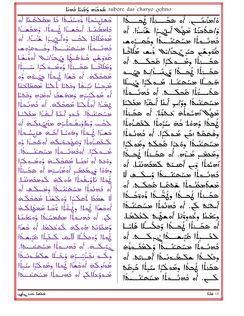Subore das charyo cohno هُمكْرْه وَاجَنْدُ لَهُ مُ دْهِ رَّسِنُومُا وُوسُنُيهُا وَ هِ هَكْشَمَا أَو هُ/هزَّمِنَــــى. أَه هكَــــزأا لِهُـــــدًا دْامْحَمْنَـا. أَحْمَــزَا لَمَــواًا. وْمَحَمــزَا وْاهِكُمَنَا: هَنْيٌمْ أَسْرَيْهِ! هَٰٓ: أَهْ أُهْ هُدهَٰكُلاَجُل حَدُّبٍ وَْهِ أَسْرَحَالٍ هَٰٓئِكُواْ. أَه دُونَــداُل هِمَنْھِمُنَــداُل وحُھـــرُوھا دُهنَـــملَمْ المسَّمَـنُـــملَمُ الْمُــــموجَوِّم هُّةوهُم حَبْرٍ كِحَزَّاسٌ وُسَعَّ هُلَاتْسَا هُوَهُم حُدَّمُوْا وَحِدَٰاتِكَ أُوزُهُا هجَـــزأا وهُـــوكُرُا هَجكَـــكَ. أو وَهَكَلَاتْهِا هِدَاءُ وَوَهَدِ كَبْرًا مَسْبِهُ صرتِه 1⁄4 سُرِيَّ الْمَــمُّلُ الْمَــمُّصَدِّ هُعضَكَة. أَه شَعَزَا هُماً صَحَبَه وَه هَ حسَّلًا مِنْهِمْنُ الْمَحْمَدُ إِنَّى الْمَحْمَدُ هُرِحِسًا تَبْحُل وَشَمْنًا لِمُحْمَّا شَعْعَلَكَتْنَا همُــــتُلُّل هَجكُـــه. أو جُوثَــولُّل أه هُدكُرْتِرْه وْهِدْهُ هَذّْ أُهْتَدْرُه وَشَمْعًا همّشهُلُما ووَّاس أَمِلْا أَمكُنْا هَكَمْمَا لِمِعْدُا أُملَٰكْمُا هُـمِحْكُمْ. أَو دُونَـولَمْ! تَعِيثُلا أَرْمَشُولُهُ شَكَّوَٰٓءُ ۖ أَو هَجَّـزَآاً ۖ همَهِمْنُدَأَ. شُومٍ أَمَنَا أَحَدُّا هَدَكْمَا لِكْتُبِ وُسَلَّوُتُفْتَهِ أَيْرَةَ هَالِيُهَكُنَّةَ أَهْ لَمْحَدًّا وَهُمَا ُ شُرَّهُ مَنْزُهاً لِلْكُعِنَّهِ الْمُحَمَّ تَعَذَا لَمِداً وهَدَا أَحَدَهُ هَزَيْتُدَاْ وفَعفَهُ آَهَمْ هُـدَكْرُا. أَه دُهنُـدَاْ! لْكَنِكُمْ زُولًا وْهِدْدَهْكُلُوهْ أُوهُدْرًا وُو هسَّمسُدًا وهَدَا هَدكُمْ وهُدكُمْ! هُـــوكُـُرْا. أُودُهنَــولُما همَنصَّنَــمدُّا. وهُدهْبِ هُـِّزْهِ. أَو هِجَـزْاً لِمُحِـدًا وَهَدا أَه أَحِبُ لَمُحَجَّدُ فَوَهُدَ دُرُ ا أهمْهَاْ! وَبِ أَهْتَمْ لَاهْدَهْشَا. أَه وَهُوَا يَا عَظَمَ أَوْهُنَا وَهُ أَوْهِ مِنْ الْمَلْكَ وَالْمَسَامَ دُونَــواْ مِنْتَعِئْتَــواْ وَمِكْــفَ لَا لَماا تَاوُحِفُواْا رَوُهكُوه لَكُمْعَدُونُنَا. مْعِكُمِينُومُا هُدْمًا مَجِدٌ 1، أَه أُه دُهنُه}ُا همّئهمُنٌـم}ُا وقسكـْ أُه هجَــزِمًا هُجَــدًا وهُخُــدًا وَوَدَــدًا لًا حمَٰدًا أَعكُمُ! وُءكَمُنًا مَعشَكَة أَسْلَامُ لَكَ. أَه دُهنُه أَا هسَّهنُدُا أُهْتُمَ ۚ إِلَيْهَ إِلَّا لَهُ وَلَٰٓ اللَّهُ وَلَٰٓ اللَّهُ وَلَٰٓ عَلَيْهِ وَلَٰٓ اللَّهُ وَلَٰٓ وحُعَّمُل وجُدوقُهْل أُدْهِجُكَ لِكَحْكَمَا. لَكُمْ. أَو دُوبِهِ إِذَا مِنْقَعِينَكُمَا وُوتَعَيْنَنَا أَه هَـذَـٰٓ;أَا يُحَــدًا وَحَكَــُلَا فَاـُــلَ وَهِدَّهَ نَمْ هُوجَدَةَ الْمُحَمَّدُونَ أَو شَعَزَا حَدٌّبِهُ! هَبُعَــهُ! يَجِكْــدُ. أه لَمْمَاا وُوصِكْبُلَا لَلْيُصِ جُنِّدَٰدِيَّا هَزْنِهِ وَا دُهنُــه/ا همّشمُدُــد/ا وَلَــمُدُــه وُه لِمُكْتَرَةَ. أَوْ دُوسَوْلًا مِنْتَمِعْتِيمِ!. وِكُـهِ بِمُنْزَعِّـــَمْ وَجَــُـلًا هِكْــُدَعَلْهُ ا ودَكْتُ الْمَكْتَفْتُ دِيْجًا أَهْتِهَا. أَه هَدَاوِكَةِ أُهْدَمَ الْمَمَالِ وهَدِكْرَا سَبِيْاً هجّذاً لُحكًا وهُمكْرًا سَبِأَا جَهِمًا هُدوَجَلَلِيٌ أَوْ دُوسُولًا هِمُهِنَدِيَا كُب، أَه دُه نُـــه|ا هسَّـهسُدًا ا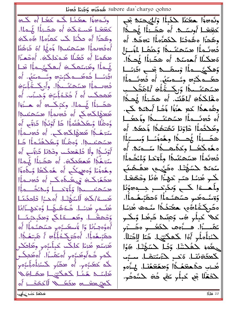Subore das charyo gohno هُدحٌزه وَاجَنطْ حُملُ وِنُدِهِ وَٰذَا حَقَيْبًا كُمْ كَعَٰذًا أَوْ كَمَد وِنُوهُواْ هِعَمْنَاْ حَدَّبِهُ! وْإِلَىٰحِمَٰهُ مِّع كَفَعْشَا هُسْـةَكَّة أَه هَـدَّاْ لَمَـداً. كَفِّقْدَا أُوسِيَنِيْهِ. أَو هَذَا الْمُحَبَّدُا وهَدًا أَه مكْبًا كُبِّ كَعِنُوءًا هُوكَة وهَٰدُرَا وَهُوَدُمُا ۖ كَكُفُرُواْ إِ يُوجَدُ. }ُو أُودُوبِهِ أَمَّ الْمُسْتَعَمَّدِ إِلَّا لَهُ أَوْمَلُوا لَهُ مَا أَوْمَانًا دُوسُولُمْ هِمَيْهِمْتُمِمُّا وَجِبُهُمْ لِمُؤْسِوُلِ ههُممُا أَو كَعُبُلًا هُـوتَدَلِكُهُ. أُوضَعُزًا هُهكُما أَحدهُمْ. أَو هدَّ:أَا هُدَهَّا. لَىء|أبصريْكك أَمعكيَّــه| شَــا وُهِكْنُيْ وَالْمُ وَسِيَّاتِ قَوْلَ الْأَرْبُنَاتِ ادَّنْـا دُهِ مَدْدِهِ وَيُـــومَنْهِ. أَه حعَـــمكْرَه ونُـــممَهُ. أَه دُهتَـــملَّا دُهِ بِهِ أَلْ هِيَنَهِيْنَــٰهِ أَلِي الْمَهْرَةُ وَأَرْجَعْتُهُ أَيْرَاثِهِ همّعنْتُـــداًا وَرِكْـــتْمَاُهَ ٱلمَتَّـكـــبِ هُعجكَــد أَه أَ جُدْجُلِّمَ; وَجِنَبُت أَه مَطْلَكُمُ وَالْحَنَّفِ. أَو هِحَـزَٰءُ! لَمُحـدًا! هجَـــزِلَمْ لَمِــدا. وكَرْكَـــرَه أَه هــزُوْا وهُمماً كَمِ مُزْدًا ذَكَراً أَحِكَمْ كَبِ. هُعِنْهَالِكُمِنَّى أَوْ دُونُولُمْ مِنْتَهِنَّيْنَا ا أُه دُهنُــه|ا هِمَّهِمُنَّــمِمَّا وَذَهمُــا وُّەھُلَّا وُحِكَكَمُّهُما كَا ٱوْنُهَٰا دَرْتُى ٱُو وهَكِدُولًا خَاوَتَا تَهُتَعُدًا وَحَعَكَ. أَه مَّتِهُــٰهُمْ هَعِنْهَا كُلُوكُــهِ . أَو دُوبِـولُمْ هكَـــزِلُمْ لِمُحَـــدُ وهُوذُــُـــل وَمـــــرَبُّ هِمَعْسُمِا. وُوهُـلًا وُحِكَدْهُنَـواْلَ حَـل هِ هُوَ جُدُوبِ حَدَّمَتِ جَدَّا مَنْدَمَدٌ. أَو أَوْنُـٰٰٓهِۢا وِلًا خُلِـهَعننَـٰٮ وِثَـٰادَا خَـٰٓوَٰٰٓٮ ۖ أَه دُونَهُما هِمُنْهِمُنَّهُ الْوَجْعَا وَلَمُخْدِمَا مَتَبَعُّدًا هُعَهَّدَكَةٍ. أَو هَدَّبْلًا بِمَا مَّەمَّلا كَسَّوُّتْتَا. وَحَنَّى وَحَسَّى مَتَّمَّسَى وهُوَوُمُ وُوصِيكُم أَو هُوكُمُ وَمِلْوَوُ لْحُــدٍ هُـٰٓئِـٰلَ حَـُـدٍ كَـٰهِــٰٓۥٗا هُـُلُّا وِحْتَفِعْـلَ. هَدَهَ: كَمِنْ مُهْلِكُمْ مُهْلِكُمْ مُهْلَكَ مُوسَوْمًا وأحسدًا كُلِّي وَتَذَبَّبَ بِنِيهِ وَتُأْثُلُوا همّعسُما وَأَوْتَحَا وُحَمَّدُ وَأَمَّا هَسـة/لآه لَلْمَهْتَـل أُمحــُرا قاحكْسًا وٌوْمُدْدِهُمْسِ حَمَّدُهَا أَدَّدَهُ مَجْمَدَاً. ەكرېڭغاشى ھېتىككا سىمھە ھُزئا هَنُــوبِ هُـ:ئـــا. خَـمَّـهَــهُــا وُوتَــهِــزَانُا وَدْهِقْدا. وهُمسمَانَكَ وْهَدّْبِدْبِسَا كْلًّا كَبِلُرٍ هُبَ وُهِبُنَّ خَرِهُا وُنْكُسٍ تَمَّـــزًا. فـــزُّەم كَكَعُــــو ەكَـــْزو أُووُوجِنُّلًا وَلَـ تُسطَّـبُونِ حَسَّعْتُـولًا أَو حكَبُمُّه أَا. أُوكَّرْ كَمُلَّهُ أَوْ أَوْ مَنْهُ اَلْ لْمُبْلُّولُم أَوْا لَكُفْكَتِّهَا. ضَمَّا لِلصَّلَّا. هُزمنُم هُزئا كَالِكُتْ كَبِلَٰتُومِ وَهَاصَلَاتِ حِعْدَوْ ۖ حَدُحَتْنَا. وَدُا ۖ حَمَّدُتَا. وَدُوَّا لْكُمْرِ شُمْأُوهُنُّوْمِ أُمَكَّمْ أَا. أُمَّتُدِكُمْ ݣَعْدَة سُلَّا. هَيْدِ حُتَّمَّتْتَهْا. مِتَّوِ گُه کَعَکْبُوسِ اُه هَجَّنَ گَسُنَالُولَمِنُوسِ هُدزبِ حِكْمِعْتُمُكُمْ وَمِعَمِّعْهُمْهَا. لِيُؤْوِ هَاسَكَ هَسُلَ كَمِكْتَهَا مِنْصَادَهَ لِكَتَعَلَّا بِّي كَرِلُرٍ كَتْبَ دُنْ لِكَسُودُرٍ. لَكْضِ مِنْ مِنْ مِنْ مَكْسِيلًا لِّلْكُنْفَقْ : أَن هَدَفُنَا حَبَّد يَجُوبَ  $11/6$  20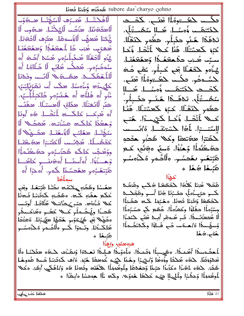Subore das charyo cohno هُمكْرْه وَاجَنِيْا خُمِيْل لَّاقُكِتْمِ السَّجْتَ لَّاسَجْتُمَا هَدَةَوُب حكُـــد للطَـــْ:وِهُلُّا هُنَـــى. كَتْـــت لَّامِدَة سُلَّا. مِزَحَّب لَّالِحِثْنَـا. مِدْهَوِب لَّا لِكَتَّتَكَــب وُّومُـــل هُـــلِلْ مَمْعُــــتُلُّ). لَمِكْتَا هُعِدِيَت لَلْقُسِمِهَا. هِدَهِ لَلْحُوْقَا. تَدَفَّذَا هُسُر حَدَّبِلُر. هِعَدْر حَنَّقَلًا. تَعْدَمِبْ هُٰذِب كَا لْمُعَتَّمُمُّا وَمِمَّعْمُنَا كْبَوْ ݣَعْسُتْلَا. فَنُا كَحِلّا لْمُتْدَا. وَكُط لِيَّهِ لَاتَعْلَل هُـدَٰبِلَٰـبُومِ هَـنَد أَكَــنَ أَو مسَّدٍ هُــزبِ حكْلِمقْكُماْ وَهِكَقَكْكُلْ. مِثْوَضَبُومِ. هُدَكَّتَ هُابِّ لَّا ضَلَّاهَا أَو لِخُومِ لِحَقَقَالَ بَعَے کُبِلُر. کَفَے دُفَ لَللَّمَكَــد. مد*هًـــوهَــدا لَّ*ائــــ وهْلالل كَلْكِمَاْرُه وُمُزْهِمُمَا. هكْتَ أَبْ تَقْوَبُائِيَكِ كَثَــد ككَتَنفَــد ؤْمِنُـــل هَـــلِلِ غُر أَه قُالُم أَه هُسُرُهر كَاحُبْلُلِّبَ). مَكْمُـــتّْلَّلُ. ثَــْكُــدْا هُـسُــر حَـكَــبِلُر. هبُ لَابُحِتْلَا. مكْلِيُ لَامِيتِتْلَا. مِكْتُب هِهُومِ لِكَنْقَـلًا. كَـرَوْ كَهِنْتَـلًا. فَنُـل أَه هُدِكَـــز كَلِكْـــه لَمُتْـَــل هَه أَوِنُل حَمِلاً أَتُدَا. وَّحُما كَتَيْهِ أَلَى هُمْ جَ وْهِعْدُا كَالْحُدِهِ مِتْبُرْدِهِ. مُعِضَلا لَا لِلْمُتَنَّــــــٓرَا. أَرْدُا كَــْمَـٰزِعْنْــــــا. دَ/نُــــــــــب عَجُتْهِ. مِمَائِبِ لَّاقُحْسَهُ. مِكَنِّى لَهُ لحكتترا مدة تمثل وكملا كحدُب حقحهِ كَتْݣُسْلًا. هُدْتِسْتْ لْلْكَتّْبْ مِنْهُ حْتّْسَالْ حَدَّمَتُمَا أَوْهَٰٓزُواْ. هَمَنُو هَرْهُكُمْ كَلْمَرْ وَوَهُدِمٌ كَالِكُمْ هُدَاتِ وَمِنْ حَبَّى مِنْكُمْ إِلَّا ھَبِّتَعَبِرِ بَعْجَسُـرٍ. وَلَاَشُـورِ وَكَذُومَـُـرِ وْهِــــُّوّْا. أَه أَمِينَـــا أَهوْيَتَـــو كَاهَـــا أهَبُعُل شُعُل \* هَبْتَعُبْوِمٍ مَعْصَنَتِنَا كُومٍ. أُوجَرَا أُو تحلمأا مملأمحا هَصْلا هُـْمُا لَلْاهُا لِكَـتَفِعْـا هُـكْبِ وِهَٰزَكُــدُ همَّسُا وهَدَّزِهِ بِكَنْتُهِ بِدَّتْنَا هَزَتْهَا. وَقِي لْحُـــو حرَّبٍــزُه لَم حَــْـرُنَا هُنَا أَــــو وهَجْحـــه ىُكُمْ هَفَرْهِ كُلُه. وَهُكُرْهِ كُلاَدُنُا دُونُا لِكَتّْقَعْلَ وَاثَّبْنُا دُوبُا. مَعْهُدَنَا لَكُلُّو هَذَا الْمُسْتَقَدَّ كَمْلًا ضُنُّوْاتِهِ. حَتَّىٰ كَمَنَّائِمَىٰ هَٰلَاضًا. أُوسَّمت ومَبَّوَماً احفَاؤُا وِكَعَنُوماً!. كَمْعَ كَلِّ حَمَّرُوماً! كَحَــُرَا وِيُمَثَّــٰماُو كَـــلا كَتْمَــو هَدَنَكـــنداُو لًا مَحصَرُتَــدًا. كَــرٍ مَحــوهُرٍ أَبــِـمْ هَبَبِ لِكَحَــرُا ەكَوْݣَ بْعَ هُيُّدَوُــرِ هُدَوْلِ هَتْيُرُا. ەَعْتُدَا وَسَهَّـٰهُا ٱلْمَـٰمَٰتِ ثُـَـِ قَـٰلَةَا وِكَمْنُشُـٰهِ اُلْـ هَٰلکَــاُنۡا. وۡـُــٰوۡوَا ۖ خُــٰـوٖ ہالۡاَـُـُـٰہوٖ ہٗکُ;ہمُــٰـوٖ لَّمُهُ. بِهُمُّ هُبُمُا ؞ فزهعتم وزقوا لْمَحْــوسمًا أَهْبِــمًا. وهَي—بِلُم وَصَّــمًا. ولَموْجِمًا فَــلِمَّا تَـمـــاةا وَبِـمَــْتِ حَــوَه محككتا ولُا تَعْدَوُوْظُاْ. حْيَهُمْ هَٰحْظُا وَوُّەهُا وُّاسِّيْءُ! وَجَسُلَ حَيْثِ عُدْهِدَا جَيَّوْ. وْافْ خْلاَدْنا شَعط هُوها هَكُرْ. حِلْهُه لِمُمْرَا مَكْلُما حَبِّسًا وُحِفْطَهَا وِلْوِهُدوْلًا حَكْفُتُم وِحُمِّلًا هَه وْالمَفْكي أبقَد مكلا ـلْوِهُدومُاْ وَحِكْثِرا وِلْمَلِي لِلْإِ حَيْجِ خُطْطًا هُدَوِّي. وِحْدَه عُلَّا هِدِدَسًا دَابِكْتُلْ \* مَحَفَّفًا حَيَّد تَحَفَّفَ  $\frac{1}{2}$  فَالْمَ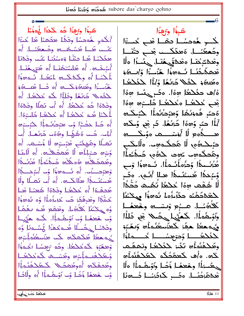Subore das charyo gohno هُمحُزْوه وَاجَنِيْا حُمِيْا

هْبِؤُا وَرُقِيَٰٓا هُمْ جُدُا لُهُوَٰٓءُمْا أَلْكُمْ هُوَجِبًا وَثَمَّا مِكْحَمًا مَا يُحْزَا عَنْــب هَــــــا هَــمُبَيْتَـــــه وحَــمعَنْـــا. أَه محككا هُا مِتْلَا وَمِمْتُمَا عَبْ وَجْهَلَا أَعْرَضُهِ. أَو هَٰامُتَنفُسْا أَو هَٰتِي هُنْـا. لَمْكْسًا أَو وَكَمَكْتُ عَلَيْكُمْ. شُوووُ هَّزُكُمَّا وهُدهَ وَحْكَسَهِ أَو حُسَلِ هُدَهُ وَ حْدُه بِهِ أَحْرَبُهُا وَحُلِيًّا ۚ جُدِّ مُحْجَدًا. أَو وثَّلاهَ! ثُم يُحْجُدُ. أُو أُب تَعلَّا وثَلاهَ! لَمْحْمَا هُـد حُحْجُمَا أَو حُحْجُمَا حَاجِوَةَا. أَه كَـا حَدُّزًا وًب مِرْجُرُبُـمِلًا ۖ كَرَبْتِهِ أَيْكٍ. كُتْ هُنْݣُيلْ وَهُمُّتْ كُرْتُعْلَى. أَتَّ تَعَـلًا ومَّهتَبَ مَّتَنِــبَرْه لَّا وَّسْـعَـ. أُه وُجْرَه حَجْلِلُه لَا هُعَضْلاً هِ. أَه لَاسًا وهُدمَكلاً وهُ مَكْلُو حَيْدُهُمْ الْمُؤْسَّلُ وْهِرُحِـــزُب، أَو نُـــوهِووُا وُبِ أَيْرَجَـــدُّا كَسِيْتُسِيْدًا هِلْلِيْدِينَ. أَيْ أَبِ تَعِيلًا وَلَا مُحفَّـهَا أَه عُـٰلَـهُـا وِثْـهَا هَعْنَـا مْـا كَتْتُوْا وْهْرِكْتُوْ شّْبْ كْبْلِزّْهِلْمْ وُهِ يْدْهِوْا وُه حِكْنُا لَلأَهُ لِهِ. وقَعْقَع قُدِ يَفْقُلُ وًت هَعَهُمْ أَوْتَ أَوُّبَعُنَّهُ إِلَّا لَكُنَّهُ هَزَّى لِمَ وَدْمُـُـلْــهُــُلْلْ هُــدَّدْءُلْ لَمِنْـُـدِيْلُ وُو يُومِعُلْ هُكُمِكُمْ لَكُ مِنْمِعُثُمْ لِمُدْمِنٌ وْهِمْرُوْ لِكُمْكَكْفَا. وَثُم رُهِنْنَا اخْدَوْا وُتِكَلَّكُفُ وَأَجْرَهُ وَهُشَبْهَا لَكُمْخَلَّكُمْ أَ وهُدفْكُمْ أُهوهُدَكُمْ كُلْعُكْفُنُهِ}ُا وًت تَقْعَدُ أَوْحُلَ وَبَ أَوَّبِكُنَّ أَلَّا أَنَّ وَلَّاحُلَّ

هْبِوًّا وَرُهِّزًا كُـــرِ هُوَجِسُــا حَمْــا قُبِي كُنـــتْزَا وكَعِّمْنَــا. هَعْكَــْـب قْبَ تَنْتَــا الْمَاءُ الْمَسْرِرِ الْمَشْرِيَةِ مُعَهَدٍ الْمَدْيَدْ مُعَهَّمٍ هْهِكُمْخُسًا شُدْهُوْا جُنْسُرًا وَٱسْتِكَوْ وهَبِيهَ وَ حَدَّثَكُمْ حَرْبُهُمْ وُالْمَالِ حَكَمْهُمْ ا ةُ/فَ حَذَكُمُ الْمُهَا. وَضَرِيحُهُ الْمُكْتُمُ وَأَوْ قِبِ مُلْعُدًا مُكْلَّدًا دُّلْتِ وَهُا ەَحَبِّ فُونُهُا وَمِرَحَزُنُواْ لِأَسْتَحْمَدُ اْلَمَا حَبَّرٍ وُهِهَا حَزْنُهُا. كَرِ بْغَى وُحْلَاه هڪم لا اُوسے ووُڪ ه دَبْكِتَوْهِ لَا هُجِكُوهِب. وَلَا كُبِ وهُحكُموم مُوم حدةٌ مِ حُمدُهُمْ! هُذُنُــمدًٰا وَحَزُّه، اُنُــه اُل. نُــه%وُّا وَــب وَّجَدْدًا هُسْتُـدَّا هـااِ ٱنُـه. ەكَـرِ لَا هُفْعَا وَهُ! غُمْطُ! نُشَبِهِ خُثُّهُ! لَتَعْدَدُهُمْ حَذَّبْهُمْ نُورُواْ مِيكْسُلَا كلأةمُــا. هـــرُم وَبِسْـــره وهُعِمُــا الْمَاءُ بِمَ مُحْمَىٰ لِمَرْتُمُ مَا الْمَثْمَةِ، وَأَمْرَضَهُمْ وَيُحْمَدُ الْحَجَّرَ الْمَحْتَمِينَ مِنْ الْمُعْرَو للحُلْكُــــا وَحوَجِسُــــا خُـــــواؤُا وهَٰذَهُنَّهُ لَهُ نَدُدُ لَذَا اللَّهُ وَتَعَهَّدَ Zro. 0)ُڡ ێڡۿؘ*ڂٛۮ۫*ۮ ڸۻؘڸڞ*ۘٲ*ۄ لِمَعْسَنِهُ الْمَصْهَامِ أَوْصَلَ الْمَسْتَمِرِ ھَٰٰہُ صَلَّے ۔ وَکُے کُلاَحَۃ سُل صَلَّے اللہ

مو<br>موارثي المفكمة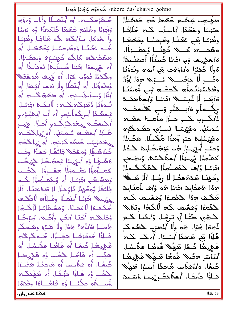Subore das`charyo gohno هُدحٌرْه وَاجَنِنْا حُمِلًا

هُدهَ، هِدَ أَنْ أَسْمَلْلَ وَأَيْمِهِ وَدَوْرَهِ وْاجْنِبْا وِهْاِيُمْ خْتّْفْعْا خَاجْمْنُوا وُه يُنِسُل واً هَدَٰدًا. مِبْزَاجِدُهِ لَكُمْ هَٰذَلِاجُا وهُزْسًا هُـــم مُعْسُــل وُمعُـرحسُــل وُحْتَفِعْــل أُم أَه هَيِهِمَا ادُنْا دُسلَكَمَا نُودَٰكُمَا أَو وِكْمُنْا بُورًى كَرَا. أَو فَيْهِ شُوهَفْلا وُونُوذُنَا. أَو أَعنَٰهَا وِلًا رَهَٰ مَا أَوُحَوَا أَو إِذًا وَسِيَرْجِدْ شَرْدٍ. أو محكَّدَة كَسْدِهِ أو ئُےؤُنُا وُهْزِكُمِكُ ہِ : لُأَنْكُكُ اجَٰنُـا. وْحِعْتُنَا أُمِيكُمْ أُمِينَ أَه أَمَا أَبِينَا أَبِينَ أَبِينَ أسئ انْدار ومكْبكرهفي مصفصكاً هُــذَا أَحْقَــهِ شَهْبُهُ. أَهْ كَالْحَقّــهِ بِهْدُوْمِيْتِ خُوصُومُ مُدْمِيْتِهِ إِنَّ بِالْمَكْتُرِ حَّمَٰ هَٰذُلا وُهِ هَٰذَا كَانَفُ احْمَزَا وَحُـب هَ هُمُواْ وُهِ أَسْرَحُوا وَحِدَّمَكُمْ لَكَيْضُتَ كَعَدُّوءُا كَعُّدُومُا مِمَّدُوْا. حَجُّد وْهِهُ هَكَ إِجْبُدًا. أَو وُحَكَ زُودًا كُنْ وَ جَابَّعًا وُوحَكِبُا دَٰاوُحِـزَا لَّا مْحَابَعِنًـا. {لَٰا حوَّيها ادَّنْهَا أَمنَعِكَا وفُللَّاهِ لَأَصَّلِّك مُكْحِمَا لَلْكَحِتْرَا. وْحَمُجُلْهُا لِلْكُلُوا وُدْلِكْـْدَ أَتْسْلَ أَبِكَ ۖ وأُكَّـٰدٌ. وَجَوْدًٰ لِ رُّهُ صَدَارِ 16% وَأَوْلَمْ كُمَّرْفِرٍ وَهُدِهِ كَمْ رَ فَاذُا هُودُوهُا هِجُبُّا. هُـوكُـرْدُه فْسَّلِيْكُمْ شُمْسًا أُو فْاهُمْا فِمُّسُمْسًا. أُو هجًى: أَه قَاهُـا لِحُـُـب وَّه قَتَلِهُـا حُبِقًا. أَو فَكَسِيبَ أَو هَٰزِجَجًا هَجُنُزًا َكْحُب وُّه قَـْأَوُّا جَرْجُـا. أَه مَّوْكَـد<sub>ُ</sub>ه لمُستَدُّه فَكْسًا وُه قَامَتُنَاهُ! وَثَمْهُ!

هَهُمُومَ وَسَقَّمَهِ شَقْعَةً دَهِ خَدَهَ: أَا حَنْزِمُا وِهَٰذَٰذَا، ٱلمصلَّبِ حَدِّدِ هَٰلَائِبَا وهُنسًا بْنِي مُعْسًا وهُرِجِسًا وَجْتَعَشَا ەھَھىنْ، كىلا كَهْسًا وَحقَصْبَلًا. ة/هلاب وَمِ ادَّنْنَا حَسَالًا أَحْمَلُهُ ا هُولًا حَٰدُبُرا ةَالْمَوْهَد بْعَي آَءْهِ وِنُوذُكُمْ وڤَحَمَّمَدَنَّـُـمَاهُ كَحصُّـهِ وَجِبَ وُْمِمُنَـٰلِ ةَ/هَبَ لَا لَمُوسَىٰ ادَّنَا وْ/هِكُلْاَ هُـُــا لَمُكْتَبِ كُتْبِ حَيَّا هِلْعَيْرَا حَقْدَه شەمئە. ەڭئىتال تىبەر دېممىگە هِ هَيُمْلِهِ حَمْرٍ وْهِدًا هَكْسُلًا. هِخَاءَ وَحَسَنِ أَمِلَىٰ إِلَىٰ هَٰتَ وَوَهُ حُسَامِهِ حَسَمَهُ كَعِنْوَهُ الْمَسْكَلْمُ أَلْمَلْكُمُ وَلَاهُ حَقَّ ادَّنْـا وُاْفْ حْكُفْ زَوْلًا حْمَكْتْگُـولُّا وحَٰهِنُـا مْحِاهَ عَحُـا لَٰا رَجُـا. أَلَّا هَــدَّة هِهُا هُعفُلِيهِ اثْبَنُا هُو وُ}َ أَهنُلِيهِ هُكُمُ وَهُمَّا لِلْكُمْ أَوْ وَهُمْ كُلُوهِ لحَكْمَتْزَا وَهِمَيْتِ كَتْنَ لَأَلْحُدُهُ! وَنَمْتَلَا لكِدُّە، حَتُّلُّ لَى تَوجْلُ وَُ*لَحَتُ*لُّ كَلُّ مِ لْمُعَهْلُ هُوْلُ مُعَهُ وَلَا أَمْلِعِيَّةٍ لِلْحَكُمِيَّةِ. قَاؤُا بْعِي هَٰزِحِكُا أَمِنْدِ}. أَوكر كُلو فَحْيُهُا حُثُما شَدْلًا فُوهُما فَدُسُلَ. ٱلملسْرِ هُدَ لَا هُءهُا شَـوْلًا قَـمْ عِمْلِكُمْ أَعْمَلْ صَّعُل 16/عذَّمب هُزحدُ أَسَّبُرا شَوْبُلا قَاؤُا حَبْحُا. أَهكَدَكَ رَبِّ الْمَسْلَم